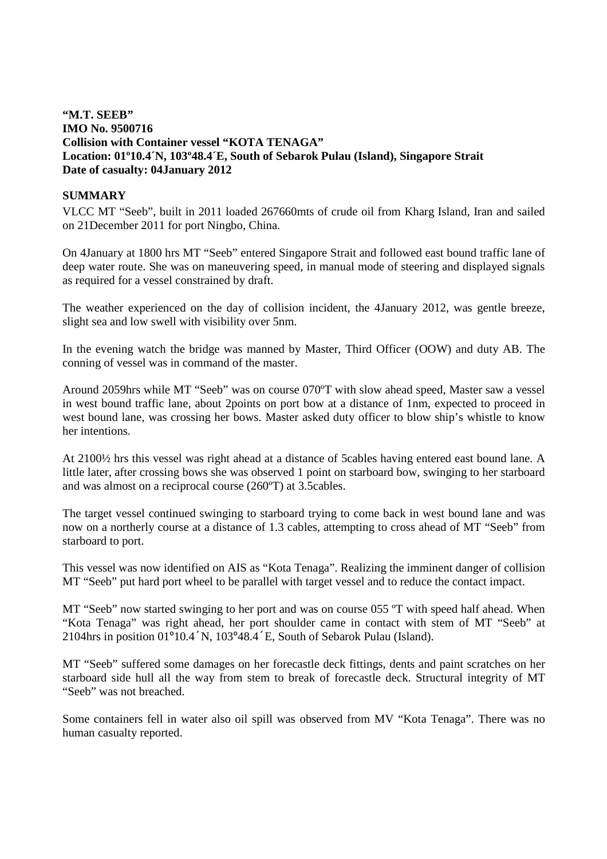# **"M.T. SEEB" IMO No. 9500716 Collision with Container vessel "KOTA TENAGA" Location: 01º10.4´N, 103º48.4´E, South of Sebarok Pulau (Island), Singapore Strait Date of casualty: 04January 2012**

### **SUMMARY**

VLCC MT "Seeb", built in 2011 loaded 267660mts of crude oil from Kharg Island, Iran and sailed on 21December 2011 for port Ningbo, China.

On 4January at 1800 hrs MT "Seeb" entered Singapore Strait and followed east bound traffic lane of deep water route. She was on maneuvering speed, in manual mode of steering and displayed signals as required for a vessel constrained by draft.

The weather experienced on the day of collision incident, the 4January 2012, was gentle breeze, slight sea and low swell with visibility over 5nm.

In the evening watch the bridge was manned by Master, Third Officer (OOW) and duty AB. The conning of vessel was in command of the master.

Around 2059hrs while MT "Seeb" was on course 070ºT with slow ahead speed, Master saw a vessel in west bound traffic lane, about 2points on port bow at a distance of 1nm, expected to proceed in west bound lane, was crossing her bows. Master asked duty officer to blow ship's whistle to know her intentions.

At 2100½ hrs this vessel was right ahead at a distance of 5cables having entered east bound lane. A little later, after crossing bows she was observed 1 point on starboard bow, swinging to her starboard and was almost on a reciprocal course (260ºT) at 3.5cables.

The target vessel continued swinging to starboard trying to come back in west bound lane and was now on a northerly course at a distance of 1.3 cables, attempting to cross ahead of MT "Seeb" from starboard to port.

This vessel was now identified on AIS as "Kota Tenaga". Realizing the imminent danger of collision MT "Seeb" put hard port wheel to be parallel with target vessel and to reduce the contact impact.

MT "Seeb" now started swinging to her port and was on course 055 °T with speed half ahead. When "Kota Tenaga" was right ahead, her port shoulder came in contact with stem of MT "Seeb" at 2104hrs in position 01º10.4´N, 103º48.4´E, South of Sebarok Pulau (Island).

MT "Seeb" suffered some damages on her forecastle deck fittings, dents and paint scratches on her starboard side hull all the way from stem to break of forecastle deck. Structural integrity of MT "Seeb" was not breached.

Some containers fell in water also oil spill was observed from MV "Kota Tenaga". There was no human casualty reported.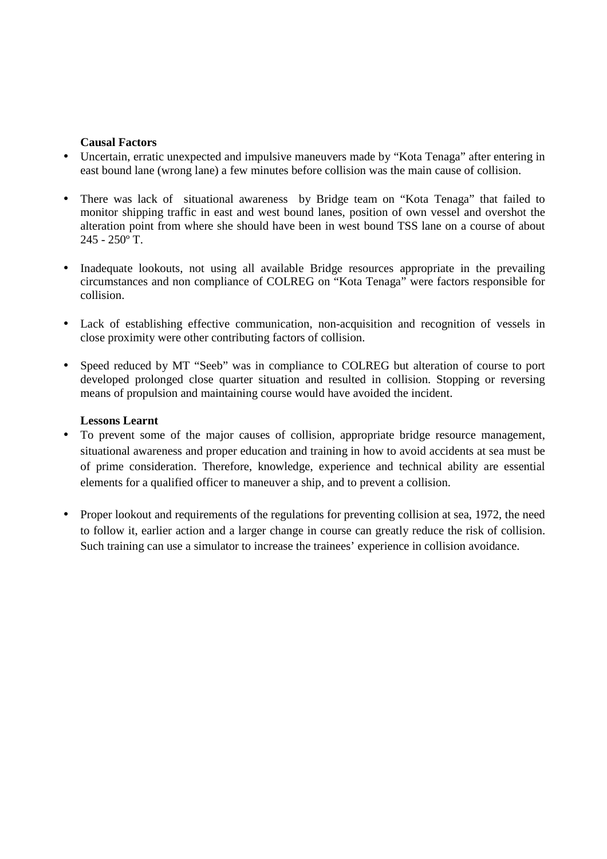## **Causal Factors**

- Uncertain, erratic unexpected and impulsive maneuvers made by "Kota Tenaga" after entering in east bound lane (wrong lane) a few minutes before collision was the main cause of collision.
- There was lack of situational awareness by Bridge team on "Kota Tenaga" that failed to monitor shipping traffic in east and west bound lanes, position of own vessel and overshot the alteration point from where she should have been in west bound TSS lane on a course of about 245 - 250º T.
- Inadequate lookouts, not using all available Bridge resources appropriate in the prevailing circumstances and non compliance of COLREG on "Kota Tenaga" were factors responsible for collision.
- Lack of establishing effective communication, non-acquisition and recognition of vessels in close proximity were other contributing factors of collision.
- Speed reduced by MT "Seeb" was in compliance to COLREG but alteration of course to port developed prolonged close quarter situation and resulted in collision. Stopping or reversing means of propulsion and maintaining course would have avoided the incident.

# **Lessons Learnt**

- To prevent some of the major causes of collision, appropriate bridge resource management, situational awareness and proper education and training in how to avoid accidents at sea must be of prime consideration. Therefore, knowledge, experience and technical ability are essential elements for a qualified officer to maneuver a ship, and to prevent a collision.
- Proper lookout and requirements of the regulations for preventing collision at sea, 1972, the need to follow it, earlier action and a larger change in course can greatly reduce the risk of collision. Such training can use a simulator to increase the trainees' experience in collision avoidance.